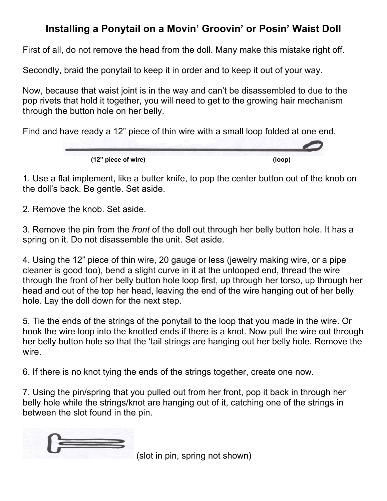## **Installing a Ponytail on a Movin' Groovin' or Posin' Waist Doll**

First of all, do not remove the head from the doll. Many make this mistake right off.

Secondly, braid the ponytail to keep it in order and to keep it out of your way.

Now, because that waist joint is in the way and can't be disassembled to due to the pop rivets that hold it together, you will need to get to the growing hair mechanism through the button hole on her belly.

Find and have ready a 12" piece of thin wire with a small loop folded at one end.



1. Use a flat implement, like a butter knife, to pop the center button out of the knob on the doll's back. Be gentle. Set aside.

2. Remove the knob. Set aside.

3. Remove the pin from the *front* of the doll out through her belly button hole. It has a spring on it. Do not disassemble the unit. Set aside.

4. Using the 12" piece of thin wire, 20 gauge or less (jewelry making wire, or a pipe cleaner is good too), bend a slight curve in it at the unlooped end, thread the wire through the front of her belly button hole loop first, up through her torso, up through her head and out of the top her head, leaving the end of the wire hanging out of her belly hole. Lay the doll down for the next step.

5. Tie the ends of the strings of the ponytail to the loop that you made in the wire. Or hook the wire loop into the knotted ends if there is a knot. Now pull the wire out through her belly button hole so that the 'tail strings are hanging out her belly hole. Remove the wire.

6. If there is no knot tying the ends of the strings together, create one now.

7. Using the pin/spring that you pulled out from her front, pop it back in through her belly hole while the strings/knot are hanging out of it, catching one of the strings in between the slot found in the pin.



(slot in pin, spring not shown)